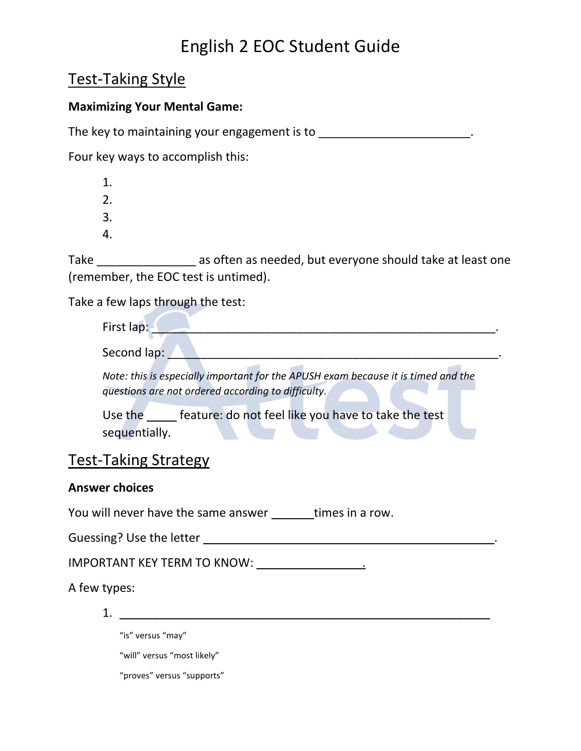### Test-Taking Style

#### **Maximizing Your Mental Game:**

The key to maintaining your engagement is to  $\blacksquare$ 

Four key ways to accomplish this:

1. 2. 3.

4.

Take \_\_\_\_\_\_\_\_\_\_\_\_\_\_\_ as often as needed, but everyone should take at least one (remember, the EOC test is untimed).

Take a few laps through the test:

| First lap:  |  |  |
|-------------|--|--|
| Second lan. |  |  |

*Note: this is especially important for the APUSH exam because it is timed and the questions are not ordered according to difficulty.*

Use the **feature:** do not feel like you have to take the test sequentially.

### Test-Taking Strategy

#### **Answer choices**

You will never have the same answer \_\_\_\_\_\_\_ times in a row.

Guessing? Use the letter \_\_\_\_\_\_\_\_\_\_\_\_\_\_\_\_\_\_\_\_\_\_\_\_\_\_\_\_\_\_\_\_\_\_\_\_\_\_\_\_\_\_\_\_.

IMPORTANT KEY TERM TO KNOW: \_\_\_\_\_\_\_\_\_\_\_\_\_\_\_\_.

A few types:

1. \_\_\_\_\_\_\_\_\_\_\_\_\_\_\_\_\_\_\_\_\_\_\_\_\_\_\_\_\_\_\_\_\_\_\_\_\_\_\_\_\_\_\_\_\_\_\_\_\_\_\_\_\_\_\_\_

"is" versus "may"

"will" versus "most likely"

"proves" versus "supports"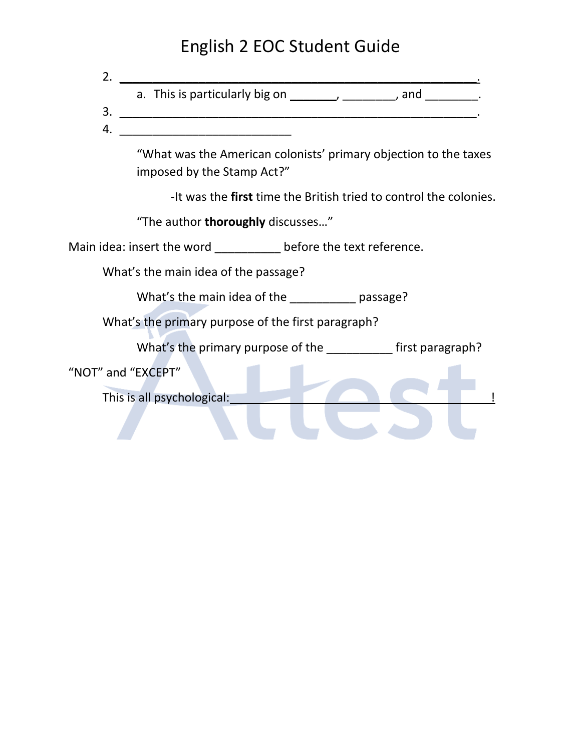| 2. |                                                                                                |
|----|------------------------------------------------------------------------------------------------|
|    | a. This is particularly big on $\sqrt{2}$ _______________, and $\sqrt{2}$ .                    |
| 3. | <u> 1989 - Johann Stoff, fransk politik (d. 1989)</u>                                          |
| 4. | <u> 1989 - Jan James James Barnett, amerikan bahasa (j. 19</u>                                 |
|    | "What was the American colonists' primary objection to the taxes<br>imposed by the Stamp Act?" |
|    | -It was the first time the British tried to control the colonies.                              |
|    | "The author thoroughly discusses"                                                              |
|    | Main idea: insert the word ____________ before the text reference.                             |
|    | What's the main idea of the passage?                                                           |
|    | What's the main idea of the passage?                                                           |
|    | What's the primary purpose of the first paragraph?                                             |
|    | What's the primary purpose of the ____________ first paragraph?                                |
|    | "NOT" and "EXCEPT"                                                                             |
|    | This is all psychological:                                                                     |
|    |                                                                                                |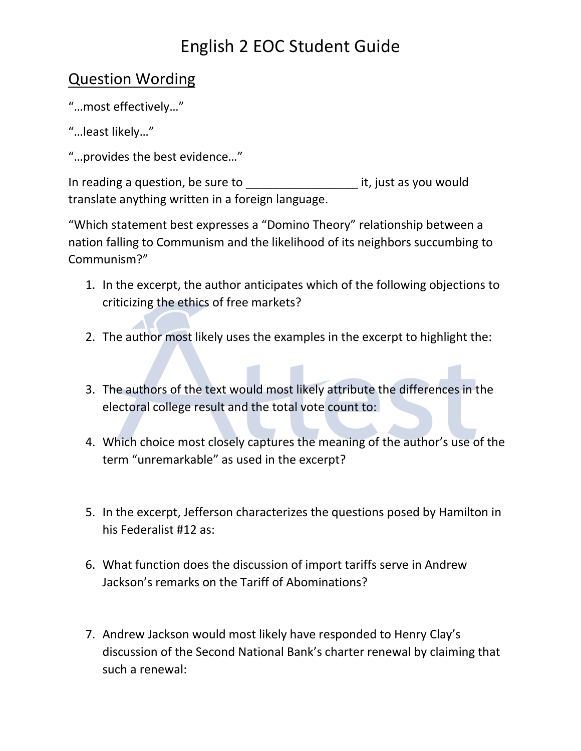### Question Wording

- "…most effectively…"
- "…least likely…"
- "…provides the best evidence…"

In reading a question, be sure to example a set of the set of the reading a question, be sure to translate anything written in a foreign language.

"Which statement best expresses a "Domino Theory" relationship between a nation falling to Communism and the likelihood of its neighbors succumbing to Communism?"

- 1. In the excerpt, the author anticipates which of the following objections to criticizing the ethics of free markets?
- 2. The author most likely uses the examples in the excerpt to highlight the:
- 3. The authors of the text would most likely attribute the differences in the electoral college result and the total vote count to:
- 4. Which choice most closely captures the meaning of the author's use of the term "unremarkable" as used in the excerpt?
- 5. In the excerpt, Jefferson characterizes the questions posed by Hamilton in his Federalist #12 as:
- 6. What function does the discussion of import tariffs serve in Andrew Jackson's remarks on the Tariff of Abominations?
- 7. Andrew Jackson would most likely have responded to Henry Clay's discussion of the Second National Bank's charter renewal by claiming that such a renewal: